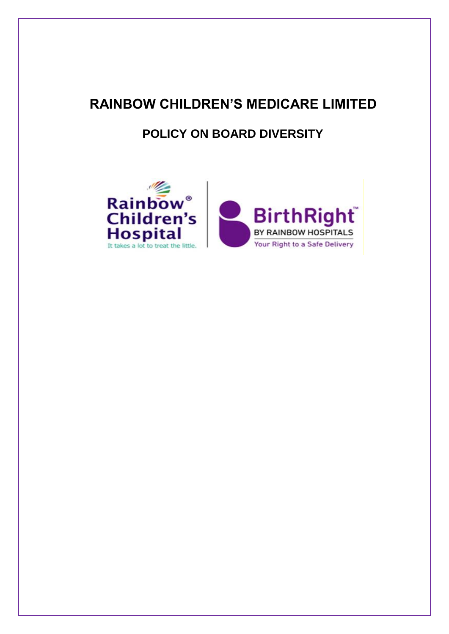# **RAINBOW CHILDREN'S MEDICARE LIMITED**

# **POLICY ON BOARD DIVERSITY**

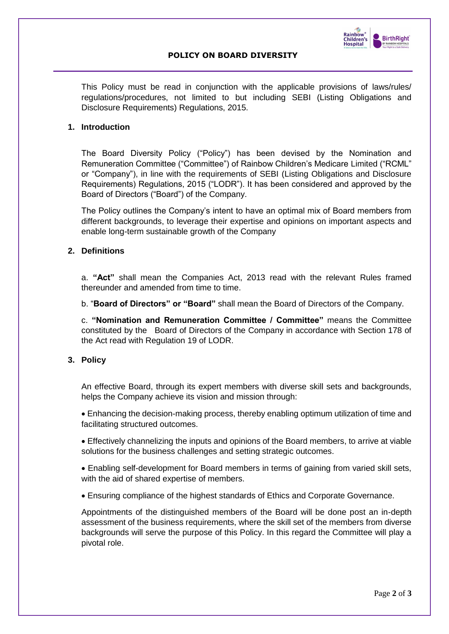

# **POLICY ON BOARD DIVERSITY**

This Policy must be read in conjunction with the applicable provisions of laws/rules/ regulations/procedures, not limited to but including SEBI (Listing Obligations and Disclosure Requirements) Regulations, 2015.

#### **1. Introduction**

The Board Diversity Policy ("Policy") has been devised by the Nomination and Remuneration Committee ("Committee") of Rainbow Children's Medicare Limited ("RCML" or "Company"), in line with the requirements of SEBI (Listing Obligations and Disclosure Requirements) Regulations, 2015 ("LODR"). It has been considered and approved by the Board of Directors ("Board") of the Company.

The Policy outlines the Company's intent to have an optimal mix of Board members from different backgrounds, to leverage their expertise and opinions on important aspects and enable long-term sustainable growth of the Company

#### **2. Definitions**

a. **"Act"** shall mean the Companies Act, 2013 read with the relevant Rules framed thereunder and amended from time to time.

b. "**Board of Directors" or "Board"** shall mean the Board of Directors of the Company.

c. **"Nomination and Remuneration Committee / Committee"** means the Committee constituted by the Board of Directors of the Company in accordance with Section 178 of the Act read with Regulation 19 of LODR.

# **3. Policy**

An effective Board, through its expert members with diverse skill sets and backgrounds, helps the Company achieve its vision and mission through:

• Enhancing the decision-making process, thereby enabling optimum utilization of time and facilitating structured outcomes.

• Effectively channelizing the inputs and opinions of the Board members, to arrive at viable solutions for the business challenges and setting strategic outcomes.

• Enabling self-development for Board members in terms of gaining from varied skill sets, with the aid of shared expertise of members.

• Ensuring compliance of the highest standards of Ethics and Corporate Governance.

Appointments of the distinguished members of the Board will be done post an in-depth assessment of the business requirements, where the skill set of the members from diverse backgrounds will serve the purpose of this Policy. In this regard the Committee will play a pivotal role.